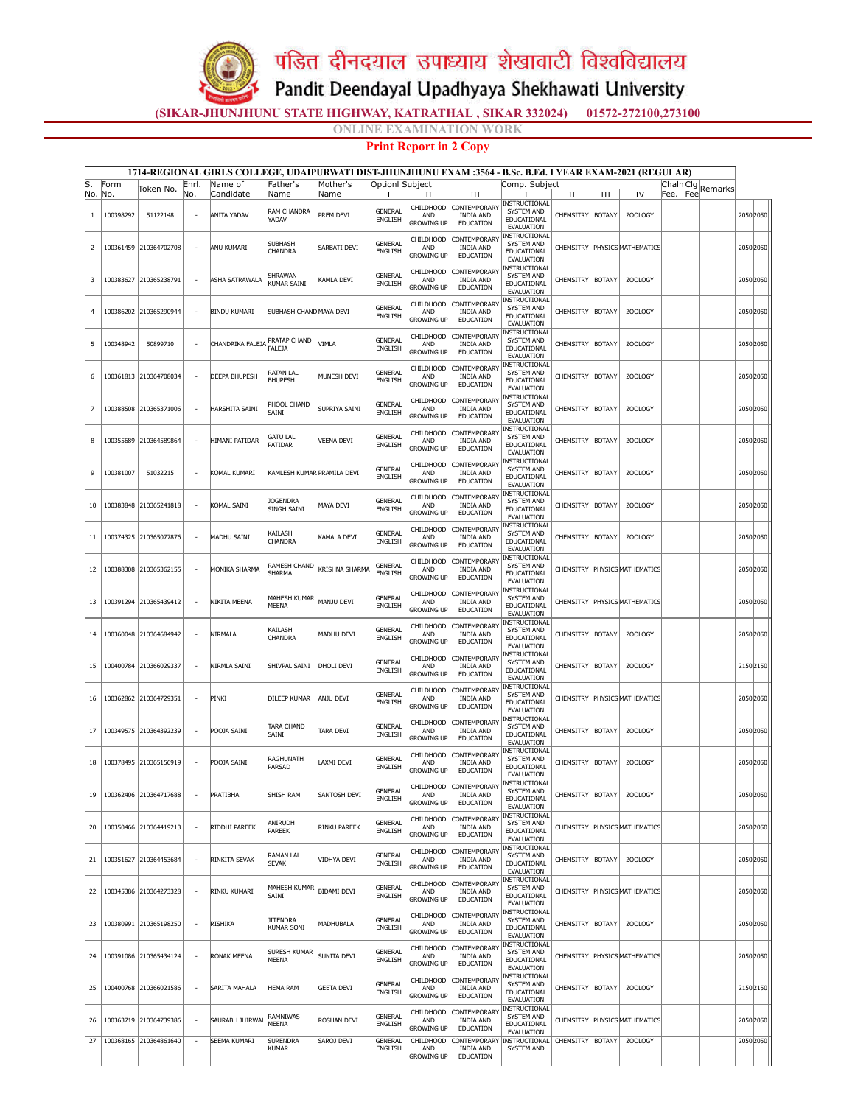पंडित दीनदयाल उपाध्याय शेखावाटी विश्वविद्यालय

Pandit Deendayal Upadhyaya Shekhawati University

(SIKAR-JHUNJHUNU STATE HIGHWAY, KATRATHAL , SIKAR 332024) 01572-272100,273100

NE EXAMINATION WORK

## Print Report in 2 Copy

|                |                  |                                                  |                                                      | 1714-REGIONAL GIRLS COLLEGE, UDAIPURWATI DIST-JHUNJHUNU EXAM :3564 - B.Sc. B.Ed. I YEAR EXAM-2021 (REGULAR) |                                             |                           |                                  |                                                                   |                                                                             |                                                                                  |                    |                    |                                                 |           |     |         |                        |  |
|----------------|------------------|--------------------------------------------------|------------------------------------------------------|-------------------------------------------------------------------------------------------------------------|---------------------------------------------|---------------------------|----------------------------------|-------------------------------------------------------------------|-----------------------------------------------------------------------------|----------------------------------------------------------------------------------|--------------------|--------------------|-------------------------------------------------|-----------|-----|---------|------------------------|--|
| lS.            | Form             | Token No.                                        | Enrl.                                                | Name of                                                                                                     | Father's                                    | Mother's                  | Optionl Subject                  |                                                                   |                                                                             | Comp. Subject                                                                    |                    |                    |                                                 | Chain Cig |     | Remarks |                        |  |
| No.<br>1       | No.<br>100398292 | 51122148                                         | No.                                                  | Candidate<br><b>ANITA YADAV</b>                                                                             | Name<br>RAM CHANDRA<br>YADAV                | Name<br>PREM DEVI         | 1<br><b>GENERAL</b><br>ENGLISH   | и<br>AND                                                          | Ш<br>CHILDHOOD CONTEMPORARY<br><b>INDIA AND</b>                             | 1<br>INSTRUCTIONAL<br>SYSTEM AND<br>EDUCATIONAL                                  | П<br>CHEMSITRY     | Ш<br><b>BOTANY</b> | IV<br><b>ZOOLOGY</b>                            | Fee.      | Fee |         | 2050 2050              |  |
| 2              |                  | 100361459 210364702708                           | $\sim$                                               | <b>ANU KUMARI</b>                                                                                           | <b>SUBHASH</b><br>CHANDRA                   | SARBATI DEVI              | GENERAL<br>ENGLISH               | <b>GROWING UP</b><br>CHILDHOOD<br>AND                             | <b>EDUCATION</b><br><b>CONTEMPORARY</b><br><b>INDIA AND</b>                 | <b>EVALUATION</b><br>INSTRUCTIONAL<br>SYSTEM AND<br>EDUCATIONAL                  |                    |                    | CHEMSITRY PHYSICS MATHEMATICS                   |           |     |         | 2050 2050              |  |
| 3              |                  | 100383627 210365238791                           |                                                      | ASHA SATRAWALA                                                                                              | <b>HRAWAN</b><br>UMAR SAINI                 | KAMLA DEVI                | <b>GENERAL</b><br><b>ENGLISH</b> | <b>GROWING UP</b><br>CHILDHOOD<br>AND                             | <b>EDUCATION</b><br><b>CONTEMPORARY</b><br><b>INDIA AND</b>                 | <b>EVALUATION</b><br>INSTRUCTIONAL<br>SYSTEM AND<br>EDUCATIONAL                  | CHEMSITRY          | <b>BOTANY</b>      | <b>ZOOLOGY</b>                                  |           |     |         | 2050 2050              |  |
| $\overline{4}$ |                  | 100386202 210365290944                           | $\overline{\phantom{a}}$                             | <b>BINDU KUMARI</b>                                                                                         | SUBHASH CHAND MAYA DEVI                     |                           | <b>GENERAL</b><br><b>ENGLISH</b> | <b>GROWING UP</b><br>CHILDHOOD<br>AND                             | EDUCATION<br>CONTEMPORARY<br><b>INDIA AND</b>                               | EVALUATION<br><b>INSTRUCTIONAL</b><br>SYSTEM AND<br>EDUCATIONAL                  | CHEMSITRY          | <b>BOTANY</b>      | <b>ZOOLOGY</b>                                  |           |     |         | <b>2050 2050</b>       |  |
| -5             | 100348942        | 50899710                                         | $\sim$                                               | CHANDRIKA FALEJA                                                                                            | <b>PRATAP CHAND</b><br>FAI F1A              | VIMLA                     | GENERAL<br>ENGLISH               | <b>GROWING UP</b><br>CHILDHOOD<br><b>AND</b><br><b>GROWING UP</b> | <b>EDUCATION</b><br>CONTEMPORARY<br><b>INDIA AND</b><br>EDUCATION           | EVALUATION<br>INSTRUCTIONAL<br>SYSTEM AND<br>EDUCATIONAL                         | CHEMSITRY          | <b>BOTANY</b>      | <b>ZOOLOGY</b>                                  |           |     |         | 2050 2050              |  |
| 6              |                  | 100361813 210364708034                           | $\overline{\phantom{a}}$                             | <b>DEEPA BHUPESH</b>                                                                                        | RATAN LAL<br>BHUPESH                        | Munesh Devi               | <b>GENERAL</b><br><b>ENGLISH</b> | CHILDHOOD<br>AND<br><b>GROWING UP</b>                             | CONTEMPORARY<br><b>INDIA AND</b><br>EDUCATION                               | <b>EVALUATION</b><br>INSTRUCTIONAL<br>SYSTEM AND<br>EDUCATIONAL                  | CHEMSITRY          | <b>BOTANY</b>      | <b>ZOOLOGY</b>                                  |           |     |         | 2050 2050              |  |
| $\overline{7}$ |                  | 100388508 210365371006                           | $\overline{\phantom{a}}$                             | HARSHITA SAINI                                                                                              | <b>PHOOL CHAND</b><br>SAINI                 | SUPRIYA SAINI             | GENERAL<br>ENGLISH               | CHILDHOOD<br>AND<br><b>GROWING UP</b>                             | CONTEMPORARY<br><b>INDIA AND</b><br><b>EDUCATION</b>                        | <b>EVALUATION</b><br>NSTRUCTIONAL<br>SYSTEM AND<br>EDUCATIONAL                   | CHEMSITRY          | <b>BOTANY</b>      | <b>ZOOLOGY</b>                                  |           |     |         | 2050 2050              |  |
| 8              |                  | 100355689 210364589864                           | $\sim$                                               | <b>HIMANI PATIDAR</b>                                                                                       | Gatu lal<br>PATIDAR                         | <b>VEENA DEVI</b>         | <b>GENERAL</b><br>ENGLISH        | CHILDHOOD<br><b>AND</b><br><b>GROWING UP</b>                      | CONTEMPORARY<br><b>INDIA AND</b><br><b>EDUCATION</b>                        | <b>EVALUATION</b><br>INSTRUCTIONAL<br>SYSTEM AND<br>EDUCATIONAL<br>EVALUATION    | CHEMSITRY          | <b>BOTANY</b>      | <b>ZOOLOGY</b>                                  |           |     |         | 2050 2050              |  |
| 9              | 100381007        | 51032215                                         |                                                      | KOMAL KUMARI                                                                                                | KAMLESH KUMAR PRAMILA DEVI                  |                           | GENERAL<br><b>ENGLISH</b>        | CHILDHOOD<br>AND<br>growing up                                    | <b>CONTEMPORARY</b><br><b>INDIA AND</b><br><b>EDUCATION</b>                 | <b>INSTRUCTIONAL</b><br>SYSTEM AND<br>EDUCATIONAL<br><b>EVALUATION</b>           | <b>CHEMSITRY</b>   | <b>BOTANY</b>      | <b>ZOOLOGY</b>                                  |           |     |         | 2050 2050              |  |
| 10             |                  | 100383848 210365241818                           | $\overline{\phantom{a}}$                             | KOMAL SAINI                                                                                                 | Jogendra<br><b>SINGH SAINI</b>              | MAYA DEVI                 | GENERAL<br><b>ENGLISH</b>        | CHILDHOOD<br>AND<br><b>GROWING UP</b>                             | <b>CONTEMPORARY</b><br><b>INDIA AND</b><br>EDUCATION                        | INSTRUCTIONAL<br>SYSTEM AND<br>EDUCATIONAL<br><b>EVALUATION</b>                  | CHEMSITRY          | <b>BOTANY</b>      | <b>ZOOLOGY</b>                                  |           |     |         | 2050 2050              |  |
| 11             |                  | 100374325 210365077876                           |                                                      | <b>MADHU SAINI</b>                                                                                          | <b>AILASH</b><br>CHANDRA                    | KAMALA DEVI               | GENERAL<br><b>ENGLISH</b>        | CHILDHOOD<br>AND<br><b>GROWING UP</b>                             | CONTEMPORARY<br><b>INDIA AND</b><br>EDUCATION                               | INSTRUCTIONAL<br>SYSTEM AND<br>EDUCATIONAL<br>EVALUATION                         | CHEMSITRY          | <b>BOTANY</b>      | ZOOLOGY                                         |           |     |         | 2050 2050              |  |
| 12             |                  | 100388308 210365362155                           | $\overline{\phantom{a}}$                             | MONIKA SHARMA                                                                                               | RAMESH CHAND<br>SHARMA                      | KRISHNA SHARMA            | <b>GENERAL</b><br><b>ENGLISH</b> | CHILDHOOD<br>AND<br><b>GROWING UP</b>                             | CONTEMPORARY<br><b>INDIA AND</b><br><b>EDUCATION</b>                        | INSTRUCTIONAL<br>SYSTEM AND<br>EDUCATIONAL<br><b>EVALUATION</b>                  |                    |                    | CHEMSITRY PHYSICS MATHEMATICS                   |           |     |         | 2050 2050              |  |
| 13             |                  | 100391294 210365439412                           |                                                      | NIKITA MEENA                                                                                                | MAHESH KUMAR<br>MEENA                       | MANJU DEVI                | <b>GENERAL</b><br><b>ENGLISH</b> | <b>CHILDHOOD</b><br><b>AND</b><br><b>GROWING UP</b>               | CONTEMPORARY<br><b>INDIA AND</b><br><b>EDUCATION</b>                        | INSTRUCTIONAL<br>SYSTEM AND<br>EDUCATIONAL<br>EVALUATION                         |                    |                    | CHEMSITRY PHYSICS MATHEMATICS                   |           |     |         | 2050 2050              |  |
| 14             |                  | 100360048 210364684942                           |                                                      | NIRMALA                                                                                                     | <b>AILASH</b><br>CHANDRA                    | MADHU DEVI                | GENERAL<br><b>ENGLISH</b>        | CHILDHOOD<br>AND<br>Growing up                                    | <b>CONTEMPORARY</b><br><b>INDIA AND</b><br><b>EDUCATION</b>                 | <b>INSTRUCTIONAL</b><br>SYSTEM AND<br>EDUCATIONAL<br><b>EVALUATION</b>           | CHEMSITRY          | <b>BOTANY</b>      | <b>ZOOLOGY</b>                                  |           |     |         | 2050 2050              |  |
| 15             |                  | 100400784 210366029337                           | $\overline{\phantom{a}}$                             | NIRMLA SAINI                                                                                                | SHIVPAL SAINI                               | DHOLI DEVI                | GENERAL<br><b>ENGLISH</b>        | CHILDHOOD<br>AND<br><b>GROWING UP</b>                             | <b>CONTEMPORARY</b><br><b>INDIA AND</b><br><b>EDUCATION</b>                 | INSTRUCTIONAL<br>SYSTEM AND<br>EDUCATIONAL<br><b>EVALUATION</b><br>INSTRUCTIONAL | CHEMSITRY          | <b>BOTANY</b>      | <b>ZOOLOGY</b>                                  |           |     |         | 2150 2150              |  |
| 16             |                  | 100362862 210364729351                           |                                                      | PINKI                                                                                                       | DILEEP KUMAR                                | ANJU DEVI                 | <b>GENERAL</b><br><b>ENGLISH</b> | CHILDHOOD<br>AND<br><b>GROWING UP</b>                             | <b>CONTEMPORARY</b><br><b>INDIA AND</b><br>EDUCATION                        | SYSTEM AND<br>EDUCATIONAL<br>EVALUATION<br><b>INSTRUCTIONAL</b>                  |                    |                    | CHEMSITRY PHYSICS MATHEMATICS                   |           |     |         | 2050 2050              |  |
| 17             |                  | 100349575 210364392239                           | $\overline{\phantom{a}}$                             | POOJA SAINI                                                                                                 | tara Chand<br>SAINI                         | TARA DEVI                 | GENERAL<br><b>ENGLISH</b>        | CHILDHOOD<br>AND<br><b>GROWING UP</b>                             | CONTEMPORARY<br><b>INDIA AND</b><br><b>EDUCATION</b>                        | SYSTEM AND<br>EDUCATIONAL<br>EVALUATION<br>INSTRUCTIONAL                         | CHEMSITRY          | <b>BOTANY</b>      | <b>ZOOLOGY</b>                                  |           |     |         | <b>2050 2050</b>       |  |
| 18             |                  | 100378495 210365156919                           | $\overline{\phantom{a}}$                             | POOJA SAINI                                                                                                 | RAGHUNATH<br>PARSAD                         | LAXMI DEVI                | GENERAL<br><b>ENGLISH</b>        | CHILDHOOD<br><b>AND</b><br><b>GROWING UP</b>                      | CONTEMPORARY<br><b>INDIA AND</b><br>EDUCATION                               | SYSTEM AND<br>EDUCATIONAL<br><b>EVALUATION</b><br><b>INSTRUCTIONAL</b>           | CHEMSITRY          | <b>BOTANY</b>      | <b>ZOOLOGY</b>                                  |           |     |         | 2050 2050              |  |
| 19             |                  | 100362406 210364717688                           |                                                      | PRATIBHA                                                                                                    | shish ram                                   | SANTOSH DEVI              | <b>GENERAL</b><br>ENGLISH        | <b>AND</b><br><b>GROWING UP</b>                                   | CHILDHOOD CONTEMPORARY<br><b>INDIA AND</b><br><b>EDUCATION</b>              | SYSTEM AND<br>EDUCATIONAL<br><b>EVALUATION</b><br><b>INSTRUCTIONAL</b>           | CHEMSITRY   BOTANY |                    | <b>ZOOLOGY</b>                                  |           |     |         | <b>2050 2050</b>       |  |
| 20             |                  | 100350466 210364419213                           | $\overline{\phantom{a}}$                             | RIDDHI PAREEK                                                                                               | ANIRUDH<br>PAREEK                           | RINKU PAREEK              | GENERAL<br>ENGLISH               | CHILDHOOD<br>AND<br><b>GROWING UP</b><br>CHILDHOOD                | CONTEMPORARY<br><b>INDIA AND</b><br><b>EDUCATION</b>                        | SYSTEM AND<br>EDUCATIONAL<br>EVALUATION<br>INSTRUCTIONAL                         |                    |                    | CHEMSITRY PHYSICS MATHEMATICS                   |           |     |         | 2050 2050              |  |
| 21             |                  | 100351627 210364453684                           | $\overline{\phantom{a}}$                             | RINKITA SEVAK                                                                                               | RAMAN LAL<br><b>SEVAK</b>                   | VIDHYA DEVI               | GENERAL<br>ENGLISH               | AND<br><b>GROWING UP</b><br>CHILDHOOD                             | <b>CONTEMPORARY</b><br><b>INDIA AND</b><br><b>EDUCATION</b><br>CONTEMPORARY | SYSTEM AND<br>EDUCATIONAL<br>EVALUATION<br>INSTRUCTIONAL                         | CHEMSITRY BOTANY   |                    | <b>ZOOLOGY</b>                                  |           |     |         | 2050 2050              |  |
| 22             |                  | 100345386 210364273328                           |                                                      | RINKU KUMARI                                                                                                | MAHESH KUMAR<br>SAINI                       | <b>BIDAMI DEVI</b>        | GENERAL<br><b>ENGLISH</b>        | AND<br><b>GROWING UP</b><br>CHILDHOOD                             | <b>INDIA AND</b><br><b>EDUCATION</b><br>CONTEMPORARY                        | SYSTEM AND<br>EDUCATIONAL<br>EVALUATION<br><b>INSTRUCTIONAL</b>                  |                    |                    | CHEMSITRY PHYSICS MATHEMATICS                   |           |     |         | 2050 2050              |  |
| 23             |                  | 100380991 210365198250                           | $\overline{\phantom{a}}$                             | RISHIKA                                                                                                     | <b>JITENDRA</b><br>KUMAR SONI               | MADHUBALA                 | GENERAL<br>ENGLISH               | AND<br><b>GROWING UP</b><br>CHILDHOOD                             | <b>INDIA AND</b><br>EDUCATION<br>CONTEMPORARY                               | SYSTEM AND<br>EDUCATIONAL<br>EVALUATION<br>INSTRUCTIONAL                         | CHEMSITRY BOTANY   |                    | ZOOLOGY                                         |           |     |         | 2050 2050              |  |
| 24             |                  | 100391086 210365434124                           | $\overline{\phantom{a}}$                             | RONAK MEENA                                                                                                 | <b>SURESH KUMAR</b><br>MEENA                | SUNITA DEVI               | GENERAL<br><b>ENGLISH</b>        | AND<br><b>GROWING UP</b><br>CHILDHOOD                             | <b>INDIA AND</b><br>EDUCATION<br>CONTEMPORARY                               | SYSTEM AND<br>EDUCATIONAL<br>EVALUATION<br>INSTRUCTIONAL                         |                    |                    | CHEMSITRY PHYSICS MATHEMATICS                   |           |     |         | 2050 2050              |  |
| 25             |                  | 100400768 210366021586                           | $\overline{\phantom{a}}$                             | <b>SARITA MAHALA</b>                                                                                        | HEMA RAM                                    | <b>GEETA DEVI</b>         | GENERAL<br>ENGLISH               | AND<br><b>GROWING UP</b><br>CHILDHOOD                             | <b>INDIA AND</b><br><b>EDUCATION</b><br>CONTEMPORARY                        | SYSTEM AND<br>EDUCATIONAL<br>EVALUATION<br>INSTRUCTIONAL                         | CHEMSITRY          | <b>BOTANY</b>      | <b>ZOOLOGY</b>                                  |           |     |         | 2150 2150              |  |
| 26<br>27       |                  | 100363719 210364739386<br>100368165 210364861640 | $\overline{\phantom{a}}$<br>$\overline{\phantom{a}}$ | SAURABH JHIRWAL<br><b>SEEMA KUMARI</b>                                                                      | RAMNIWAS<br><b>IEENA</b><br><b>SURENDRA</b> | ROSHAN DEVI<br>SAROJ DEVI | GENERAL<br>ENGLISH<br>GENERAL    | AND<br><b>GROWING UP</b><br><b>CHILDHOOD</b>                      | <b>INDIA AND</b><br><b>EDUCATION</b><br>CONTEMPORARY                        | SYSTEM AND<br>EDUCATIONAL<br>EVALUATION<br><b>INSTRUCTIONAL</b>                  | CHEMSITRY          | <b>BOTANY</b>      | CHEMSITRY PHYSICS MATHEMATICS<br><b>ZOOLOGY</b> |           |     |         | 2050 2050<br>2050 2050 |  |
|                |                  |                                                  |                                                      |                                                                                                             | KUMAR                                       |                           | <b>ENGLISH</b>                   | AND<br><b>GROWING UP</b>                                          | <b>INDIA AND</b><br><b>EDUCATION</b>                                        | SYSTEM AND                                                                       |                    |                    |                                                 |           |     |         |                        |  |